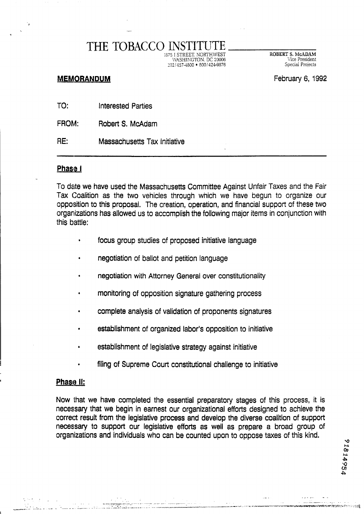# THE TOBACCO INS'

:S75 I STREET. NORTHWEST ROBERT **S. McADAM**  WASHINGTON. DC 20006 Vice President 702 14574800 8001424-9876 Special Pmjects

### **MEMORANDUM** February 6, 1992

21814954

TO: Interested Parties

FROM: Robert S. McAdam

RE: Massachusetts Tax initiative

#### **Phase <sup>I</sup>**

To date we have used the Massachusetts Committee Against Unfair Taxes and the Fair Tax Coalition **as** the two vehicles through which we have begun to organize our opposition to this proposal. The creation, operation, and financial support of these two organizations has allowed us to accomplish the following major items in conjunction with this battle:

- focus group studies of proposed initiative language
- negotiation of ballot and petition language
- negotiation with Attorney General over constitutionality
- monitoring of opposition signature gathering process
- complete analysis of validation of proponents signatures
- establishment of organized labor's opposition to initiative
- establishment of legislative strategy against initiative
- filing of Supreme Court constitutional challenge to initiative

#### **Phase II:**

Now that we have completed the essential preparatory stages of this process, it is necessary that we begin in earnest our organizational efforts designed to achieve the correct result from the legislative process and develop the diverse coalition of support necessary to support our legislative efforts **as** well as prepare a broad group of organizations and individuals who can be counted upon to oppose taxes of this kind.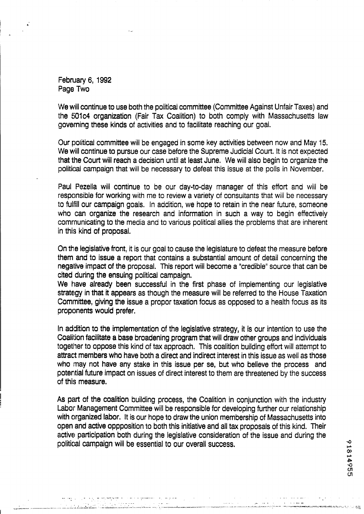Febn~ary 6, **1992**  Page Two

We wiii continue to use both the political committee (Committee Against Unfair Taxes) and the **fi0lc4** organization (Fair **Tax** Coalition) to both comply with Massachusetts law governing these kinds of activities and to facilitate reaching our goal.

Our political committee will be engaged in some key activities between now and May 15. We will continue to pursue our case before the Supreme Judicial Court. It is not expected that the Court will reach a decision until at least June. We will also begin to organize the political campaign that wiil be necessary to defeat this issue at the polls in November.

Paul Pezella will continue to be our day-to-day manager of this effort and will be responsible for working with me to review a variety of consultants that will be necessary to fuifill our campaign goals. In addition, we hope to retain in the near future, someone who can organize the research and information in such a way to begin effectively comrnunicating to the media and to various political allies the problems that are inherent in this kind of proposai.

On the legislative front, it is our goal to cause the legislature to defeat the measure before them and to issue **a** report that contains a substantial amount of detail concerning the negative impact of the proposal. This report will become a "credible" source that can be cited during the ensuing political campaign.

**We** have already been successful in the first phase of implementing our legislative strategy in that it appears as though the measure will be referred to the House Taxation Committee, giving the issue a propor taxation focus as opposed to a health focus as its proponents would prefer.

In addition to the implementation of the legislative strategy, it is our intention to use the Coalition facilitate **a** base broadening program that will draw other groups and individuals together to oppose this kind of tax approach. This coalition building effort will attempt to attract members who have both a direct and indirect interest in this issue as well as those who may not have any stake in this issue per se, but who believe the process and potential future impact on issues of direct interest to them are threatened by the success of this measure.

**As** part of the coalition building process, the Coalition in conjunction with the industry Labor Management Committee will be responsible for developing further our relationship with organized labor. It is our hope to draw the union membership of Massachusetts into open and active oppposition to both this initiative and all **tax** proposals of this kind. Their active participation both during the legislative consideration of the issue and during the political campaign will be essential to our overall success.